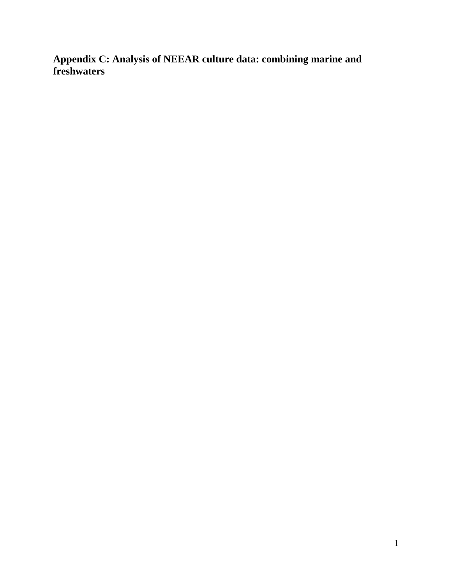**Appendix C: Analysis of NEEAR culture data: combining marine and freshwaters**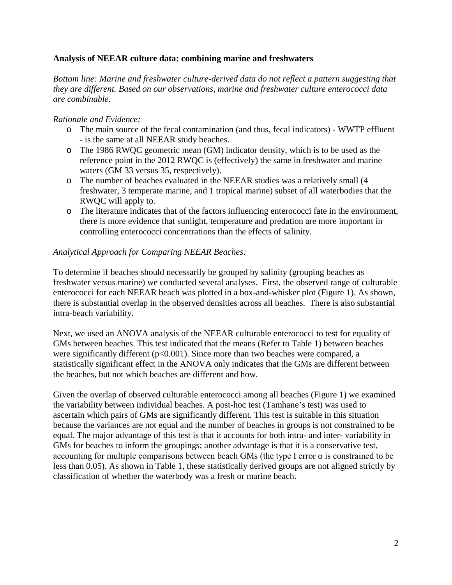### **Analysis of NEEAR culture data: combining marine and freshwaters**

*Bottom line: Marine and freshwater culture-derived data do not reflect a pattern suggesting that they are different. Based on our observations, marine and freshwater culture enterococci data are combinable.*

### *Rationale and Evidence:*

- o The main source of the fecal contamination (and thus, fecal indicators) WWTP effluent - is the same at all NEEAR study beaches.
- o The 1986 RWQC geometric mean (GM) indicator density, which is to be used as the r eference point in the 2012 RWQC is (effectively) the same in freshwater and marine waters (GM 33 versus 35, respectively).
- o The number of beaches evaluated in the NEEAR studies was a relatively small (4 f reshwater, 3 temperate marine, and 1 tropical marine) subset of all waterbodies that the RWQC will apply to.
- o The literature indicates that of the factors influencing enterococci fate in the environment, t here is more evidence that sunlight, temperature and predation are more important in controlling enterococci concentrations than the effects of salinity.

### *Analytical Approach for Comparing NEEAR Beaches:*

To determine if beaches should necessarily be grouped by salinity (grouping beaches as freshwater versus marine) we conducted several analyses. First, the observed range of culturable enterococci for each NEEAR beach was plotted in a box-and-whisker plot (Figure 1). As shown, there is substantial overlap in the observed densities across all beaches. There is also substantial intra-beach variability.

Next, we used an ANOVA analysis of the NEEAR culturable enterococci to test for equality of GMs between beaches. This test indicated that the means (Refer to Table 1) between beaches were significantly different (p<0.001). Since more than two beaches were compared, a statistically significant effect in the ANOVA only indicates that the GMs are different between the beaches, but not which beaches are different and how.

Given the overlap of observed culturable enterococci among all beaches (Figure 1) we examined the variability between individual beaches. A post-hoc test (Tamhane's test) was used to ascertain which pairs of GMs are significantly different. This test is suitable in this situation because the variances are not equal and the number of beaches in groups is not constrained to be equal. The major advantage of this test is that it accounts for both intra- and inter- variability in GMs for beaches to inform the groupings; another advantage is that it is a conservative test, accounting for multiple comparisons between beach GMs (the type I error  $\alpha$  is constrained to be less than 0.05). As shown in Table 1, these statistically derived groups are not aligned strictly by classification of whether the waterbody was a fresh or marine beach.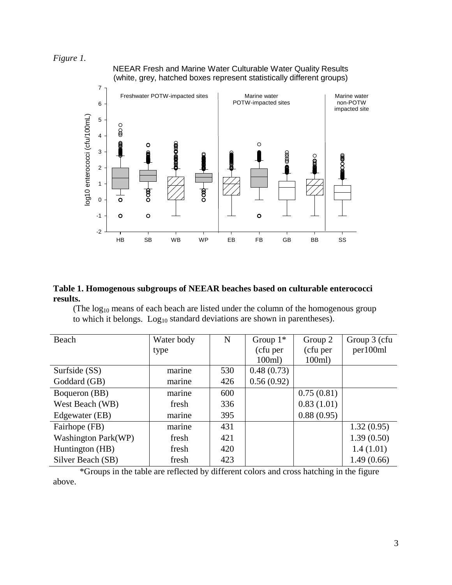*Figure 1.* 

NEEAR Fresh and Marine Water Culturable Water Quality Results (white, grey, hatched boxes represent statistically different groups)



#### **Table 1. Homogenous subgroups of NEEAR beaches based on culturable enterococci results.**

(The  $log_{10}$  means of each beach are listed under the column of the homogenous group to which it belongs.  $Log<sub>10</sub>$  standard deviations are shown in parentheses).

| Beach                      | Water body | N   | Group $1^*$ | Group 2    | Group 3 (cfu |
|----------------------------|------------|-----|-------------|------------|--------------|
|                            | type       |     | (cfu per    | (cfu per   | per100ml     |
|                            |            |     | $100ml$ )   | 100ml)     |              |
| Surfside (SS)              | marine     | 530 | 0.48(0.73)  |            |              |
| Goddard (GB)               | marine     | 426 | 0.56(0.92)  |            |              |
| Boqueron (BB)              | marine     | 600 |             | 0.75(0.81) |              |
| West Beach (WB)            | fresh      | 336 |             | 0.83(1.01) |              |
| Edgewater (EB)             | marine     | 395 |             | 0.88(0.95) |              |
| Fairhope (FB)              | marine     | 431 |             |            | 1.32(0.95)   |
| <b>Washington Park(WP)</b> | fresh      | 421 |             |            | 1.39(0.50)   |
| Huntington (HB)            | fresh      | 420 |             |            | 1.4(1.01)    |
| Silver Beach (SB)          | fresh      | 423 |             |            | 1.49(0.66)   |

 \*Groups in the table are reflected by different colors and cross hatching in the figure above.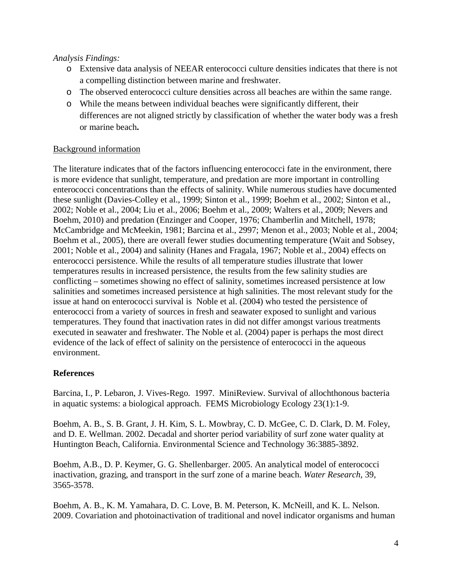## *Analysis Findings:*

- o Extensive data analysis of NEEAR enterococci culture densities indicates that there is not a compelling distinction between marine and freshwater.
- o The observed enterococci culture densities across all beaches are within the same range.
- o While the means between individual beaches were significantly different, their differences are not aligned strictly by classification of whether the water body was a fresh or marine beach**.**

### Background information

The literature indicates that of the factors influencing enterococci fate in the environment, there is more evidence that sunlight, temperature, and predation are more important in controlling enterococci concentrations than the effects of salinity. While numerous studies have documented these sunlight (Davies-Colley et al., 1999; Sinton et al., 1999; Boehm et al., 2002; Sinton et al., 2002; Noble et al., 2004; Liu et al., 2006; Boehm et al., 2009; Walters et al., 2009; Nevers and Boehm, 2010) and predation (Enzinger and Cooper, 1976; Chamberlin and Mitchell, 1978; McCambridge and McMeekin, 1981; Barcina et al., 2997; Menon et al., 2003; Noble et al., 2004; Boehm et al., 2005), there are overall fewer studies documenting temperature (Wait and Sobsey, 2001; Noble et al., 2004) and salinity (Hanes and Fragala, 1967; Noble et al., 2004) effects on enterococci persistence. While the results of all temperature studies illustrate that lower temperatures results in increased persistence, the results from the few salinity studies are conflicting – sometimes showing no effect of salinity, sometimes increased persistence at low salinities and sometimes increased persistence at high salinities. The most relevant study for the issue at hand on enterococci survival is Noble et al. (2004) who tested the persistence of enterococci from a variety of sources in fresh and seawater exposed to sunlight and various temperatures. They found that inactivation rates in did not differ amongst various treatments executed in seawater and freshwater. The Noble et al. (2004) paper is perhaps the most direct evidence of the lack of effect of salinity on the persistence of enterococci in the aqueous environment.

# **References**

Barcina, I., P. Lebaron, J. Vives-Rego. 1997. MiniReview. Survival of allochthonous bacteria in aquatic systems: a biological approach. FEMS Microbiology Ecology 23(1):1-9.

Boehm, A. B., S. B. Grant, J. H. Kim, S. L. Mowbray, C. D. McGee, C. D. Clark, D. M. Foley, and D. E. Wellman. 2002. Decadal and shorter period variability of surf zone water quality at Huntington Beach, California. Environmental Science and Technology 36:3885-3892.

Boehm, A.B., D. P. Keymer, G. G. Shellenbarger. 2005. An analytical model of enterococci inactivation, grazing, and transport in the surf zone of a marine beach. *Water Research*, 39, 3565-3578.

Boehm, A. B., K. M. Yamahara, D. C. Love, B. M. Peterson, K. McNeill, and K. L. Nelson. 2009. Covariation and photoinactivation of traditional and novel indicator organisms and human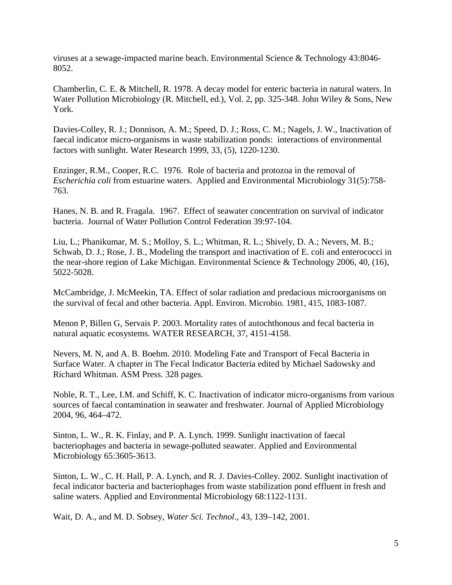viruses at a sewage-impacted marine beach. Environmental Science & Technology 43:8046- 8052.

Chamberlin, C. E. & Mitchell, R. 1978. A decay model for enteric bacteria in natural waters. In Water Pollution Microbiology (R. Mitchell, ed.), Vol. 2, pp. 325-348. John Wiley & Sons, New York.

Davies-Colley, R. J.; Donnison, A. M.; Speed, D. J.; Ross, C. M.; Nagels, J. W., Inactivation of faecal indicator micro-organisms in waste stabilization ponds: interactions of environmental factors with sunlight. Water Research 1999, 33, (5), 1220-1230.

Enzinger, R.M., Cooper, R.C. 1976. Role of bacteria and protozoa in the removal of *Escherichia coli* from estuarine waters. Applied and Environmental Microbiology 31(5):758- 763.

Hanes, N. B. and R. Fragala. 1967. Effect of seawater concentration on survival of indicator bacteria. Journal of Water Pollution Control Federation 39:97-104.

Liu, L.; Phanikumar, M. S.; Molloy, S. L.; Whitman, R. L.; Shively, D. A.; Nevers, M. B.; Schwab, D. J.; Rose, J. B., Modeling the transport and inactivation of E. coli and enterococci in the near-shore region of Lake Michigan. Environmental Science & Technology 2006, 40, (16), 5022-5028.

McCambridge, J. McMeekin, TA. Effect of solar radiation and predacious microorganisms on the survival of fecal and other bacteria. Appl. Environ. Microbio. 1981, 415, 1083-1087.

Menon P, Billen G, Servais P. 2003. Mortality rates of autochthonous and fecal bacteria in natural aquatic ecosystems. WATER RESEARCH, 37, 4151-4158.

Nevers, M. N, and A. B. Boehm. 2010. Modeling Fate and Transport of Fecal Bacteria in Surface Water. A chapter in The Fecal Indicator Bacteria edited by Michael Sadowsky and Richard Whitman. ASM Press. 328 pages.

Noble, R. T., Lee, I.M. and Schiff, K. C. Inactivation of indicator micro-organisms from various sources of faecal contamination in seawater and freshwater. Journal of Applied Microbiology 2004, 96, 464–472.

Sinton, L. W., R. K. Finlay, and P. A. Lynch. 1999. Sunlight inactivation of faecal bacteriophages and bacteria in sewage-polluted seawater. Applied and Environmental Microbiology 65:3605-3613.

Sinton, L. W., C. H. Hall, P. A. Lynch, and R. J. Davies-Colley. 2002. Sunlight inactivation of fecal indicator bacteria and bacteriophages from waste stabilization pond effluent in fresh and saline waters. Applied and Environmental Microbiology 68:1122-1131.

Wait, D. A., and M. D. Sobsey, *Water Sci. Technol*., 43, 139–142, 2001.